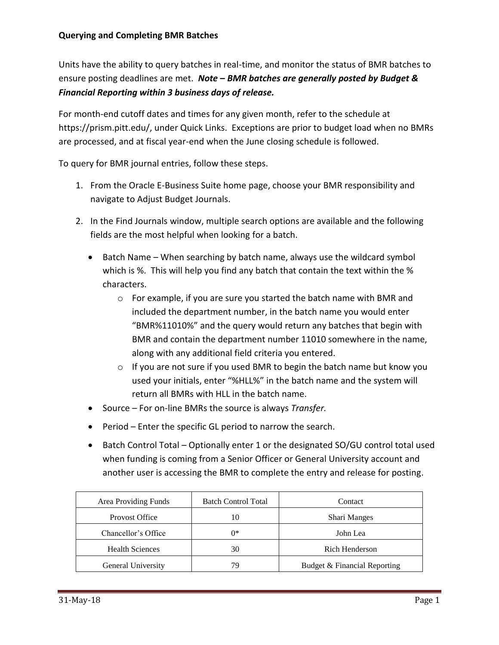Units have the ability to query batches in real-time, and monitor the status of BMR batches to ensure posting deadlines are met. *Note* **–** *BMR batches are generally posted by Budget & Financial Reporting within 3 business days of release.* 

For month-end cutoff dates and times for any given month, refer to the schedule at https://prism.pitt.edu/, under Quick Links. Exceptions are prior to budget load when no BMRs are processed, and at fiscal year-end when the June closing schedule is followed.

To query for BMR journal entries, follow these steps.

- 1. From the Oracle E-Business Suite home page, choose your BMR responsibility and navigate to Adjust Budget Journals.
- 2. In the Find Journals window, multiple search options are available and the following fields are the most helpful when looking for a batch.
	- $\bullet$  Batch Name When searching by batch name, always use the wildcard symbol which is %. This will help you find any batch that contain the text within the % characters.
		- o For example, if you are sure you started the batch name with BMR and included the department number, in the batch name you would enter "BMR%11010%" and the query would return any batches that begin with BMR and contain the department number 11010 somewhere in the name, along with any additional field criteria you entered.
		- o If you are not sure if you used BMR to begin the batch name but know you used your initials, enter "%HLL%" in the batch name and the system will return all BMRs with HLL in the batch name.
	- Source For on-line BMRs the source is always *Transfer.*
	- Period Enter the specific GL period to narrow the search.
	- Batch Control Total Optionally enter 1 or the designated SO/GU control total used when funding is coming from a Senior Officer or General University account and another user is accessing the BMR to complete the entry and release for posting.

| Area Providing Funds   | <b>Batch Control Total</b> | Contact                      |  |  |
|------------------------|----------------------------|------------------------------|--|--|
| <b>Provost Office</b>  | 10                         | <b>Shari Manges</b>          |  |  |
| Chancellor's Office    | $0*$                       | John Lea                     |  |  |
| <b>Health Sciences</b> | 30                         | Rich Henderson               |  |  |
| General University     | 79                         | Budget & Financial Reporting |  |  |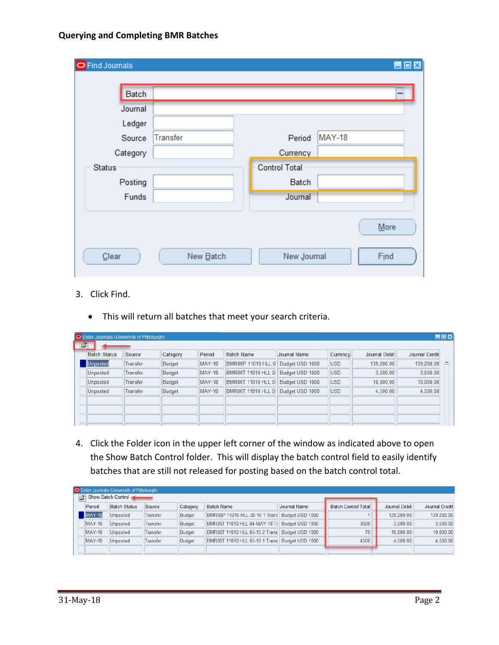## **Querying and Completing BMR Batches**

| <b>O</b> Find Journals |                 |                      | LOX           |  |
|------------------------|-----------------|----------------------|---------------|--|
| Batch                  |                 |                      | $\cdots$      |  |
| Journal                |                 |                      |               |  |
| Ledger                 |                 |                      |               |  |
| Source                 | <b>Transfer</b> | Period               | <b>MAY-18</b> |  |
| Category               |                 | Currency             |               |  |
| <b>Status</b>          |                 | <b>Control Total</b> |               |  |
| Posting                |                 | Batch                |               |  |
| Funds                  |                 | Journal              |               |  |
| Clear                  | New Batch       | New Journal          | More<br>Find  |  |

## 3. Click Find.

This will return all batches that meet your search criteria.

| <b>LDX</b><br><b>O</b> Enter Journals (University of Pittsburgh) |          |          |               |                            |                 |            |               |                |  |  |  |
|------------------------------------------------------------------|----------|----------|---------------|----------------------------|-----------------|------------|---------------|----------------|--|--|--|
| $\mathbf{B}^{\parallel}$                                         |          |          |               |                            |                 |            |               |                |  |  |  |
| <b>Batch Status</b>                                              | Source   | Category | Period        | <b>Batch Name</b>          | Journal Name    | Currency   | Journal Debit | Journal Credit |  |  |  |
| Unposted                                                         | Transfer | Budget   | <b>MAY-18</b> | <b>BMR06P 11010 HLL 0</b>  | Budget USD 1000 | <b>USD</b> | 139,200.00    | 139,200.00     |  |  |  |
| <b>Unposted</b>                                                  | Transfer | Budget   | <b>MAY-18</b> | <b>BMR06T 11010 HLL 04</b> | Budget USD 1000 | <b>USD</b> | 3.500.00      | 3,500.00       |  |  |  |
| <b>Unposted</b>                                                  | Transfer | Budget   | <b>MAY-18</b> | <b>BMR06T 11010 HLL 0!</b> | Budget USD 1000 | <b>USD</b> | 10,000.00     | 10,000.00      |  |  |  |
| <b>Unposted</b>                                                  | Transfer | Budget   | <b>MAY-18</b> | <b>BMR06T 11010 HLL 0!</b> | Budget USD 1000 | <b>USD</b> | 4,500.00      | 4,500.00       |  |  |  |
|                                                                  |          |          |               |                            |                 |            |               |                |  |  |  |
|                                                                  |          |          |               |                            |                 |            |               |                |  |  |  |
|                                                                  |          |          |               |                            |                 |            |               |                |  |  |  |

4. Click the Folder icon in the upper left corner of the window as indicated above to open the Show Batch Control folder. This will display the batch control field to easily identify batches that are still not released for posting based on the batch control total.

| <b>O</b> Enter Journals (University of Pittsburgh) |                     |          |          |                                                |                 |                            |               |                |  |  |  |
|----------------------------------------------------|---------------------|----------|----------|------------------------------------------------|-----------------|----------------------------|---------------|----------------|--|--|--|
|                                                    | Show Batch Control  |          |          |                                                |                 |                            |               |                |  |  |  |
| Period                                             | <b>Batch Status</b> | Source   | Category | <b>Batch Name</b>                              | Journal Name    | <b>Batch Control Total</b> | Journal Debit | Journal Credit |  |  |  |
| <b>MAY-18</b>                                      | Unposted            | Transfer | Budget   | BMR06P 11010 HLL 05-15 1 Trans Budget USD 1000 |                 |                            | 139,200.00    | 139.200.00     |  |  |  |
| <b>MAY-18</b>                                      | Unposted            | Transfer | Budget   | BMR06T 11010 HLL 04-MAY-18 Tr                  | Budget USD 1000 | 3500                       | 3.500.00      | 3.500.00       |  |  |  |
| <b>MAY-18</b>                                      | Unposted            | Transfer | Budget   | BMR06T 11010 HLL 05-15 2 Trans Budget USD 1000 |                 | 79                         | 10.000.00     | 10.000.00      |  |  |  |
| <b>MAY-18</b>                                      | Unposted            | Transfer | Budget   | BMR06T 11010 HLL 05-16 1 Trans Budget USD 1000 |                 | 4500                       | 4.500.00      | 4.500.00       |  |  |  |
|                                                    |                     |          |          |                                                |                 |                            |               |                |  |  |  |
|                                                    |                     |          |          |                                                |                 |                            |               |                |  |  |  |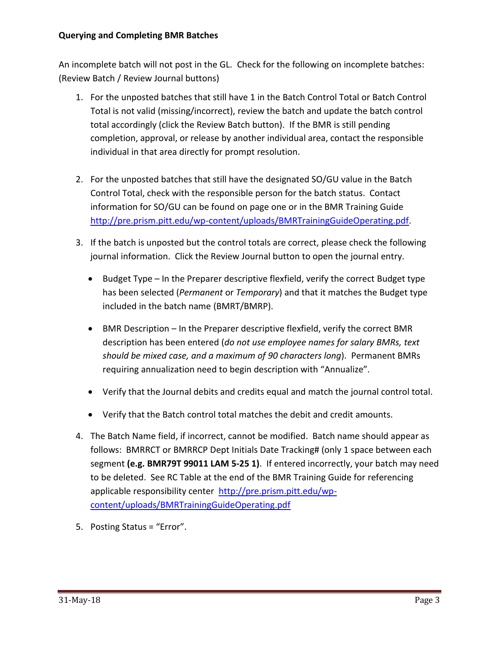## **Querying and Completing BMR Batches**

An incomplete batch will not post in the GL. Check for the following on incomplete batches: (Review Batch / Review Journal buttons)

- 1. For the unposted batches that still have 1 in the Batch Control Total or Batch Control Total is not valid (missing/incorrect), review the batch and update the batch control total accordingly (click the Review Batch button). If the BMR is still pending completion, approval, or release by another individual area, contact the responsible individual in that area directly for prompt resolution.
- 2. For the unposted batches that still have the designated SO/GU value in the Batch Control Total, check with the responsible person for the batch status. Contact information for SO/GU can be found on page one or in the BMR Training Guide [http://pre.prism.pitt.edu/wp-content/uploads/BMRTrainingGuideOperating.pdf.](http://pre.prism.pitt.edu/wp-content/uploads/BMRTrainingGuideOperating.pdf)
- 3. If the batch is unposted but the control totals are correct, please check the following journal information. Click the Review Journal button to open the journal entry.
	- Budget Type In the Preparer descriptive flexfield, verify the correct Budget type has been selected (*Permanent* or *Temporary*) and that it matches the Budget type included in the batch name (BMRT/BMRP).
	- BMR Description In the Preparer descriptive flexfield, verify the correct BMR description has been entered (*do not use employee names for salary BMRs, text should be mixed case, and a maximum of 90 characters long*). Permanent BMRs requiring annualization need to begin description with "Annualize".
	- Verify that the Journal debits and credits equal and match the journal control total.
	- Verify that the Batch control total matches the debit and credit amounts.
- 4. The Batch Name field, if incorrect, cannot be modified. Batch name should appear as follows: BMRRCT or BMRRCP Dept Initials Date Tracking# (only 1 space between each segment **(e.g. BMR79T 99011 LAM 5-25 1)**. If entered incorrectly, your batch may need to be deleted. See RC Table at the end of the BMR Training Guide for referencing applicable responsibility center [http://pre.prism.pitt.edu/wp](http://pre.prism.pitt.edu/wp-content/uploads/BMRTrainingGuideOperating.pdf)[content/uploads/BMRTrainingGuideOperating.pdf](http://pre.prism.pitt.edu/wp-content/uploads/BMRTrainingGuideOperating.pdf)
- 5. Posting Status = "Error".